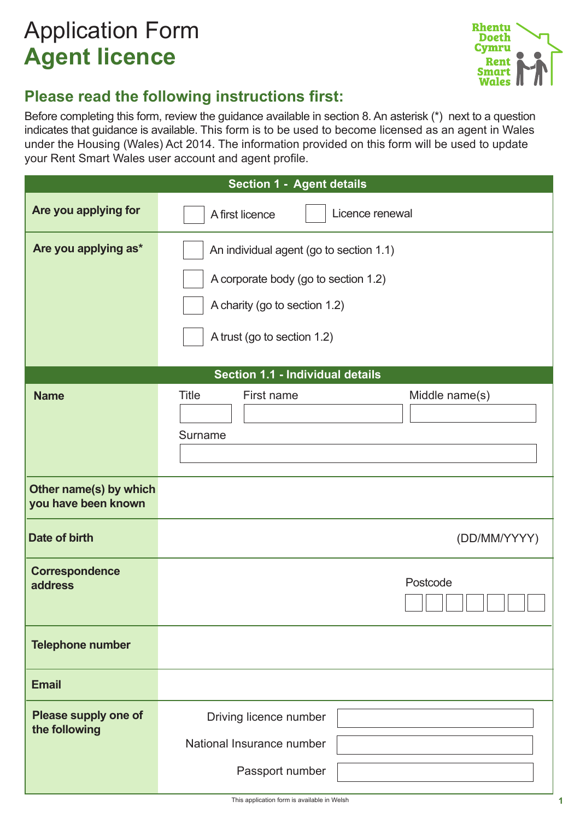# Application Form **Agent licence**



# **Please read the following instructions first:**

Before completing this form, review the guidance available in section 8. An asterisk (\*) next to a question indicates that guidance is available. This form is to be used to become licensed as an agent in Wales under the Housing (Wales) Act 2014. The information provided on this form will be used to update your Rent Smart Wales user account and agent profile.

|                                               | <b>Section 1 - Agent details</b>                                                                                                                |              |  |  |  |
|-----------------------------------------------|-------------------------------------------------------------------------------------------------------------------------------------------------|--------------|--|--|--|
| Are you applying for                          | Licence renewal<br>A first licence                                                                                                              |              |  |  |  |
| Are you applying as*                          | An individual agent (go to section 1.1)<br>A corporate body (go to section 1.2)<br>A charity (go to section 1.2)<br>A trust (go to section 1.2) |              |  |  |  |
|                                               |                                                                                                                                                 |              |  |  |  |
|                                               | Section 1.1 - Individual details                                                                                                                |              |  |  |  |
| <b>Name</b>                                   | <b>Title</b><br>First name<br>Middle name(s)<br>Surname                                                                                         |              |  |  |  |
| Other name(s) by which<br>you have been known |                                                                                                                                                 |              |  |  |  |
| Date of birth                                 |                                                                                                                                                 | (DD/MM/YYYY) |  |  |  |
| <b>Correspondence</b><br>address              | Postcode                                                                                                                                        |              |  |  |  |
| <b>Telephone number</b>                       |                                                                                                                                                 |              |  |  |  |
| <b>Email</b>                                  |                                                                                                                                                 |              |  |  |  |
| Please supply one of<br>the following         | Driving licence number<br>National Insurance number<br>Passport number                                                                          |              |  |  |  |
|                                               |                                                                                                                                                 |              |  |  |  |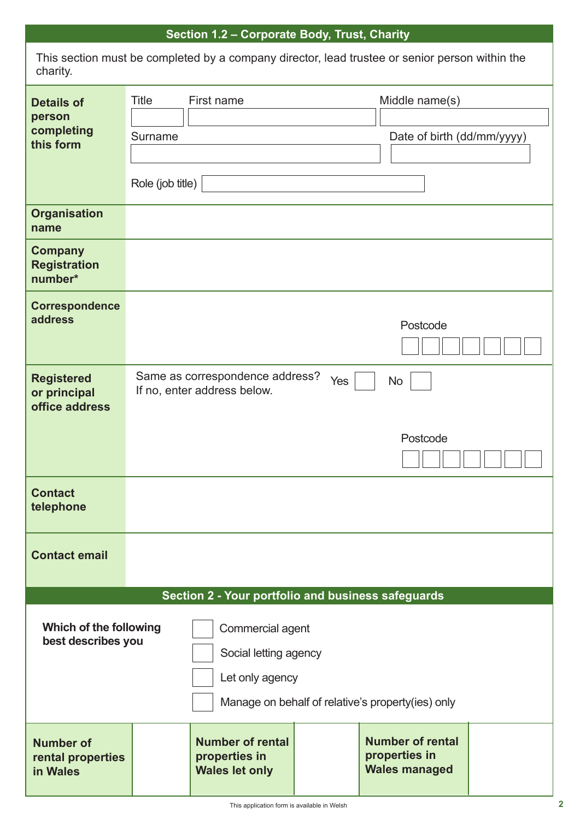# **Section 1.2 – Corporate Body, Trust, Charity**

This section must be completed by a company director, lead trustee or senior person within the charity.

| <b>Details of</b><br>person<br>completing<br>this form | Title<br>Surname<br>Role (job title) | First name                                                                                                                                                              |     | Middle name(s)<br>Date of birth (dd/mm/yyyy)                     |  |
|--------------------------------------------------------|--------------------------------------|-------------------------------------------------------------------------------------------------------------------------------------------------------------------------|-----|------------------------------------------------------------------|--|
| <b>Organisation</b><br>name                            |                                      |                                                                                                                                                                         |     |                                                                  |  |
| <b>Company</b><br><b>Registration</b><br>number*       |                                      |                                                                                                                                                                         |     |                                                                  |  |
| <b>Correspondence</b><br>address                       |                                      |                                                                                                                                                                         |     | Postcode                                                         |  |
| <b>Registered</b><br>or principal<br>office address    |                                      | Same as correspondence address?<br>If no, enter address below.                                                                                                          | Yes | <b>No</b><br>Postcode                                            |  |
| <b>Contact</b><br>telephone                            |                                      |                                                                                                                                                                         |     |                                                                  |  |
| <b>Contact email</b>                                   |                                      |                                                                                                                                                                         |     |                                                                  |  |
| Which of the following<br>best describes you           |                                      | Section 2 - Your portfolio and business safeguards<br>Commercial agent<br>Social letting agency<br>Let only agency<br>Manage on behalf of relative's property(ies) only |     |                                                                  |  |
| <b>Number of</b><br>rental properties<br>in Wales      |                                      | <b>Number of rental</b><br>properties in<br><b>Wales let only</b>                                                                                                       |     | <b>Number of rental</b><br>properties in<br><b>Wales managed</b> |  |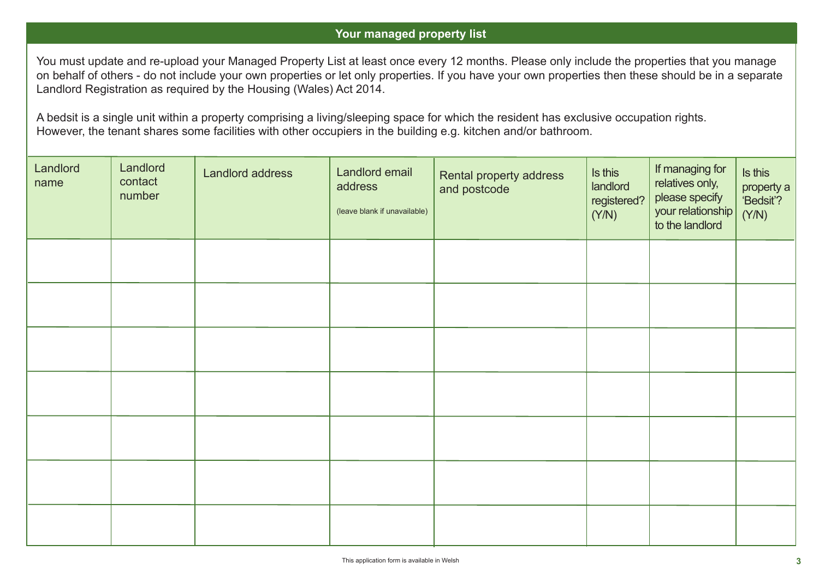#### **Your managed property list**

You must update and re-upload your Managed Property List at least once every 12 months. Please only include the properties that you manage on behalf of others - do not include your own properties or let only properties. If you have your own properties then these should be in a separate Landlord Registration as required by the Housing (Wales) Act 2014.

A bedsit is a single unit within a property comprising a living/sleeping space for which the resident has exclusive occupation rights. However, the tenant shares some facilities with other occupiers in the building e.g. kitchen and/or bathroom.

| Landlord<br>name | Landlord<br>contact<br>number | Landlord address | Landlord email<br>address<br>(leave blank if unavailable) | Rental property address<br>and postcode | Is this<br>landlord<br>registered?<br>(Y/N) | If managing for<br>relatives only,<br>please specify<br>your relationship | Is this<br>property a<br>'Bedsit'?<br>(Y/N) |
|------------------|-------------------------------|------------------|-----------------------------------------------------------|-----------------------------------------|---------------------------------------------|---------------------------------------------------------------------------|---------------------------------------------|
|                  |                               |                  |                                                           |                                         |                                             |                                                                           |                                             |
|                  |                               |                  |                                                           |                                         |                                             |                                                                           |                                             |
|                  |                               |                  |                                                           |                                         |                                             |                                                                           |                                             |
|                  |                               |                  |                                                           |                                         |                                             |                                                                           |                                             |
|                  |                               |                  |                                                           |                                         |                                             |                                                                           |                                             |
|                  |                               |                  |                                                           |                                         |                                             |                                                                           |                                             |
|                  |                               |                  |                                                           |                                         |                                             |                                                                           |                                             |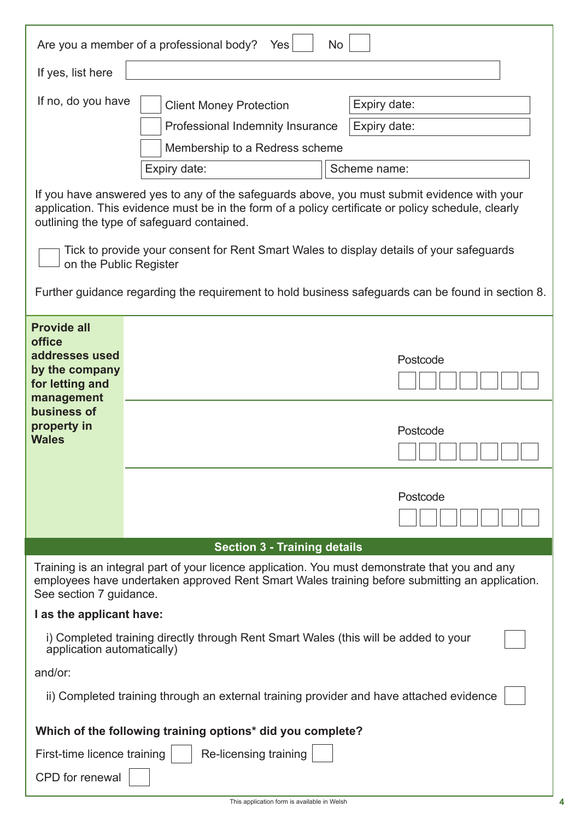|                                                                                                   | Are you a member of a professional body?<br>No<br>Yes                                                                                                                                                                                           |  |  |  |
|---------------------------------------------------------------------------------------------------|-------------------------------------------------------------------------------------------------------------------------------------------------------------------------------------------------------------------------------------------------|--|--|--|
| If yes, list here                                                                                 |                                                                                                                                                                                                                                                 |  |  |  |
| If no, do you have                                                                                | Expiry date:<br><b>Client Money Protection</b>                                                                                                                                                                                                  |  |  |  |
|                                                                                                   | Professional Indemnity Insurance<br>Expiry date:                                                                                                                                                                                                |  |  |  |
|                                                                                                   | Membership to a Redress scheme                                                                                                                                                                                                                  |  |  |  |
|                                                                                                   | Scheme name:<br>Expiry date:                                                                                                                                                                                                                    |  |  |  |
|                                                                                                   | If you have answered yes to any of the safeguards above, you must submit evidence with your<br>application. This evidence must be in the form of a policy certificate or policy schedule, clearly<br>outlining the type of safeguard contained. |  |  |  |
| on the Public Register                                                                            | Tick to provide your consent for Rent Smart Wales to display details of your safeguards                                                                                                                                                         |  |  |  |
|                                                                                                   | Further guidance regarding the requirement to hold business safeguards can be found in section 8.                                                                                                                                               |  |  |  |
| <b>Provide all</b><br>office<br>addresses used<br>by the company<br>for letting and<br>management | Postcode                                                                                                                                                                                                                                        |  |  |  |
| business of<br>property in<br><b>Wales</b>                                                        | Postcode                                                                                                                                                                                                                                        |  |  |  |
|                                                                                                   | Postcode                                                                                                                                                                                                                                        |  |  |  |
|                                                                                                   | <b>Section 3 - Training details</b>                                                                                                                                                                                                             |  |  |  |
| See section 7 guidance.                                                                           | Training is an integral part of your licence application. You must demonstrate that you and any<br>employees have undertaken approved Rent Smart Wales training before submitting an application.                                               |  |  |  |
| I as the applicant have:                                                                          |                                                                                                                                                                                                                                                 |  |  |  |
| application automatically)                                                                        | i) Completed training directly through Rent Smart Wales (this will be added to your                                                                                                                                                             |  |  |  |
| and/or:                                                                                           |                                                                                                                                                                                                                                                 |  |  |  |
|                                                                                                   | ii) Completed training through an external training provider and have attached evidence                                                                                                                                                         |  |  |  |
| Which of the following training options* did you complete?                                        |                                                                                                                                                                                                                                                 |  |  |  |
| First-time licence training                                                                       | Re-licensing training                                                                                                                                                                                                                           |  |  |  |
| <b>CPD</b> for renewal                                                                            |                                                                                                                                                                                                                                                 |  |  |  |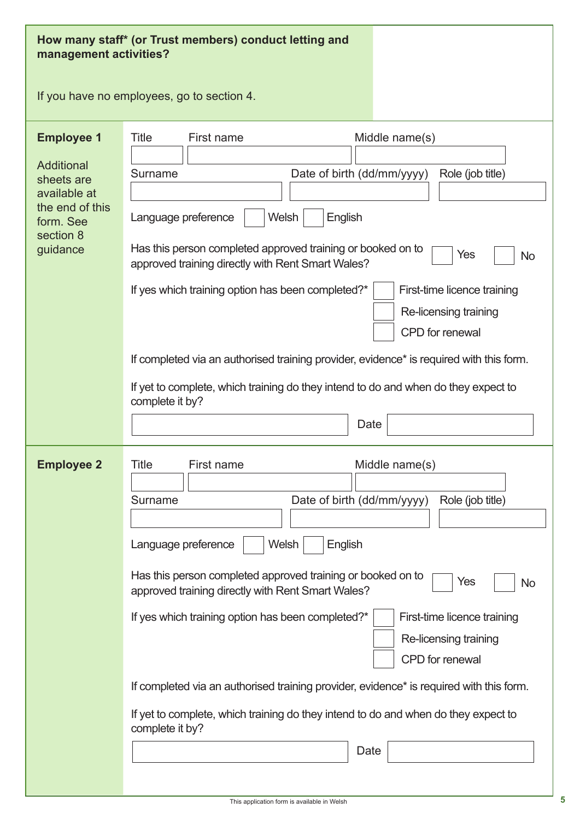| management activities?                                                                                                        | How many staff* (or Trust members) conduct letting and                                                                                                                                                                                                                                                                                                                                                                                                                                                                                                                                                                           |
|-------------------------------------------------------------------------------------------------------------------------------|----------------------------------------------------------------------------------------------------------------------------------------------------------------------------------------------------------------------------------------------------------------------------------------------------------------------------------------------------------------------------------------------------------------------------------------------------------------------------------------------------------------------------------------------------------------------------------------------------------------------------------|
|                                                                                                                               | If you have no employees, go to section 4.                                                                                                                                                                                                                                                                                                                                                                                                                                                                                                                                                                                       |
| <b>Employee 1</b><br><b>Additional</b><br>sheets are<br>available at<br>the end of this<br>form. See<br>section 8<br>guidance | Title<br>First name<br>Middle name(s)<br>Date of birth (dd/mm/yyyy)<br>Role (job title)<br>Surname<br>Welsh<br>Language preference<br>English<br>Has this person completed approved training or booked on to<br>Yes<br><b>No</b><br>approved training directly with Rent Smart Wales?<br>If yes which training option has been completed?*<br>First-time licence training<br>Re-licensing training<br><b>CPD</b> for renewal<br>If completed via an authorised training provider, evidence* is required with this form.<br>If yet to complete, which training do they intend to do and when do they expect to                    |
|                                                                                                                               | complete it by?<br>Date                                                                                                                                                                                                                                                                                                                                                                                                                                                                                                                                                                                                          |
| <b>Employee 2</b>                                                                                                             | Middle name(s)<br>Title<br>First name<br>Date of birth (dd/mm/yyyy)<br>Role (job title)<br>Surname<br><b>Welsh</b><br>English<br>Language preference<br>Has this person completed approved training or booked on to<br>Yes<br><b>No</b><br>approved training directly with Rent Smart Wales?<br>If yes which training option has been completed?*<br>First-time licence training<br>Re-licensing training<br>CPD for renewal<br>If completed via an authorised training provider, evidence* is required with this form.<br>If yet to complete, which training do they intend to do and when do they expect to<br>complete it by? |
|                                                                                                                               | Date                                                                                                                                                                                                                                                                                                                                                                                                                                                                                                                                                                                                                             |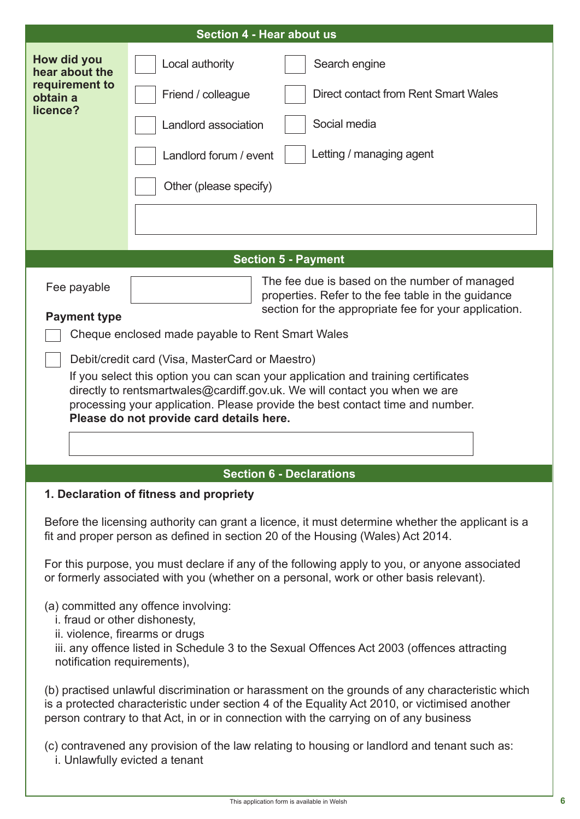|                                                                                                                                                                                         | <b>Section 4 - Hear about us</b>                                                                                                                                                                                                                                                         |  |  |  |  |
|-----------------------------------------------------------------------------------------------------------------------------------------------------------------------------------------|------------------------------------------------------------------------------------------------------------------------------------------------------------------------------------------------------------------------------------------------------------------------------------------|--|--|--|--|
| How did you<br>hear about the                                                                                                                                                           | Local authority<br>Search engine                                                                                                                                                                                                                                                         |  |  |  |  |
| requirement to<br>obtain a<br>licence?                                                                                                                                                  | Direct contact from Rent Smart Wales<br>Friend / colleague                                                                                                                                                                                                                               |  |  |  |  |
|                                                                                                                                                                                         | Social media<br>Landlord association                                                                                                                                                                                                                                                     |  |  |  |  |
|                                                                                                                                                                                         | Letting / managing agent<br>Landlord forum / event                                                                                                                                                                                                                                       |  |  |  |  |
|                                                                                                                                                                                         | Other (please specify)                                                                                                                                                                                                                                                                   |  |  |  |  |
|                                                                                                                                                                                         |                                                                                                                                                                                                                                                                                          |  |  |  |  |
|                                                                                                                                                                                         |                                                                                                                                                                                                                                                                                          |  |  |  |  |
|                                                                                                                                                                                         | <b>Section 5 - Payment</b>                                                                                                                                                                                                                                                               |  |  |  |  |
| Fee payable                                                                                                                                                                             | The fee due is based on the number of managed<br>properties. Refer to the fee table in the guidance<br>section for the appropriate fee for your application.                                                                                                                             |  |  |  |  |
| <b>Payment type</b>                                                                                                                                                                     | Cheque enclosed made payable to Rent Smart Wales                                                                                                                                                                                                                                         |  |  |  |  |
|                                                                                                                                                                                         |                                                                                                                                                                                                                                                                                          |  |  |  |  |
|                                                                                                                                                                                         | Debit/credit card (Visa, MasterCard or Maestro)                                                                                                                                                                                                                                          |  |  |  |  |
|                                                                                                                                                                                         | If you select this option you can scan your application and training certificates                                                                                                                                                                                                        |  |  |  |  |
|                                                                                                                                                                                         | directly to rentsmartwales@cardiff.gov.uk. We will contact you when we are<br>processing your application. Please provide the best contact time and number.                                                                                                                              |  |  |  |  |
| Please do not provide card details here.                                                                                                                                                |                                                                                                                                                                                                                                                                                          |  |  |  |  |
|                                                                                                                                                                                         |                                                                                                                                                                                                                                                                                          |  |  |  |  |
|                                                                                                                                                                                         |                                                                                                                                                                                                                                                                                          |  |  |  |  |
|                                                                                                                                                                                         | <b>Section 6 - Declarations</b>                                                                                                                                                                                                                                                          |  |  |  |  |
|                                                                                                                                                                                         | 1. Declaration of fitness and propriety                                                                                                                                                                                                                                                  |  |  |  |  |
|                                                                                                                                                                                         | Before the licensing authority can grant a licence, it must determine whether the applicant is a<br>fit and proper person as defined in section 20 of the Housing (Wales) Act 2014.                                                                                                      |  |  |  |  |
| For this purpose, you must declare if any of the following apply to you, or anyone associated<br>or formerly associated with you (whether on a personal, work or other basis relevant). |                                                                                                                                                                                                                                                                                          |  |  |  |  |
| i. fraud or other dishonesty,<br>notification requirements),                                                                                                                            | (a) committed any offence involving:<br>ii. violence, firearms or drugs<br>iii. any offence listed in Schedule 3 to the Sexual Offences Act 2003 (offences attracting                                                                                                                    |  |  |  |  |
|                                                                                                                                                                                         | (b) practised unlawful discrimination or harassment on the grounds of any characteristic which<br>is a protected characteristic under section 4 of the Equality Act 2010, or victimised another<br>person contrary to that Act, in or in connection with the carrying on of any business |  |  |  |  |
|                                                                                                                                                                                         | (c) contravened any provision of the law relating to housing or landlord and tenant such as:<br>i. Unlawfully evicted a tenant                                                                                                                                                           |  |  |  |  |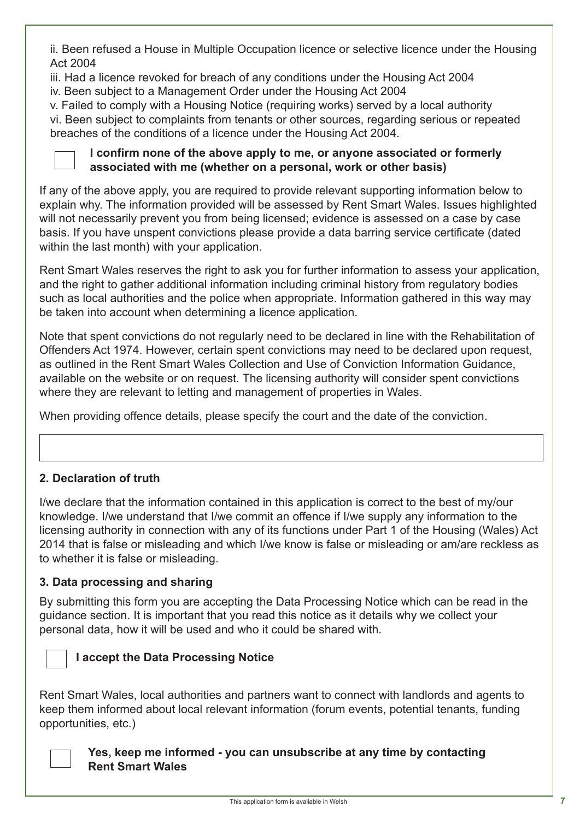ii. Been refused a House in Multiple Occupation licence or selective licence under the Housing Act 2004

iii. Had a licence revoked for breach of any conditions under the Housing Act 2004

iv. Been subject to a Management Order under the Housing Act 2004

v. Failed to comply with a Housing Notice (requiring works) served by a local authority vi. Been subject to complaints from tenants or other sources, regarding serious or repeated breaches of the conditions of a licence under the Housing Act 2004.



#### **I confirm none of the above apply to me, or anyone associated or formerly associated with me (whether on a personal, work or other basis)**

If any of the above apply, you are required to provide relevant supporting information below to explain why. The information provided will be assessed by Rent Smart Wales. Issues highlighted will not necessarily prevent you from being licensed; evidence is assessed on a case by case basis. If you have unspent convictions please provide a data barring service certificate (dated within the last month) with your application.

Rent Smart Wales reserves the right to ask you for further information to assess your application, and the right to gather additional information including criminal history from regulatory bodies such as local authorities and the police when appropriate. Information gathered in this way may be taken into account when determining a licence application.

Note that spent convictions do not regularly need to be declared in line with the Rehabilitation of Offenders Act 1974. However, certain spent convictions may need to be declared upon request, as outlined in the Rent Smart Wales Collection and Use of Conviction Information Guidance, available on the website or on request. The licensing authority will consider spent convictions where they are relevant to letting and management of properties in Wales.

When providing offence details, please specify the court and the date of the conviction.

# **2. Declaration of truth**

I/we declare that the information contained in this application is correct to the best of my/our knowledge. I/we understand that I/we commit an offence if I/we supply any information to the licensing authority in connection with any of its functions under Part 1 of the Housing (Wales) Act 2014 that is false or misleading and which I/we know is false or misleading or am/are reckless as to whether it is false or misleading.

## **3. Data processing and sharing**

By submitting this form you are accepting the Data Processing Notice which can be read in the guidance section. It is important that you read this notice as it details why we collect your personal data, how it will be used and who it could be shared with.



## **I accept the Data Processing Notice**

Rent Smart Wales, local authorities and partners want to connect with landlords and agents to keep them informed about local relevant information (forum events, potential tenants, funding opportunities, etc.)

#### **Yes, keep me informed - you can unsubscribe at any time by contacting Rent Smart Wales**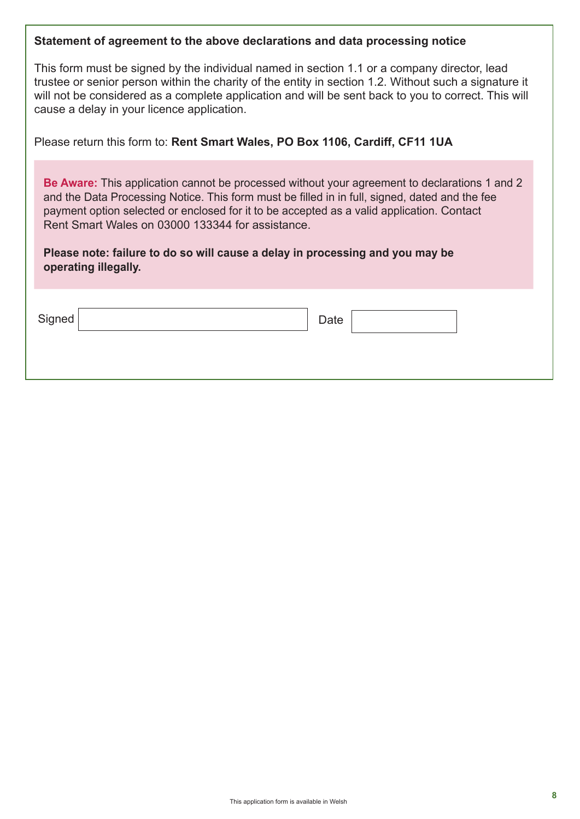| Statement of agreement to the above declarations and data processing notice                                                                                                                                                                                                                                                                                                                                                                                      |  |  |  |  |  |
|------------------------------------------------------------------------------------------------------------------------------------------------------------------------------------------------------------------------------------------------------------------------------------------------------------------------------------------------------------------------------------------------------------------------------------------------------------------|--|--|--|--|--|
| This form must be signed by the individual named in section 1.1 or a company director, lead<br>trustee or senior person within the charity of the entity in section 1.2. Without such a signature it<br>will not be considered as a complete application and will be sent back to you to correct. This will<br>cause a delay in your licence application.                                                                                                        |  |  |  |  |  |
| Please return this form to: Rent Smart Wales, PO Box 1106, Cardiff, CF11 1UA                                                                                                                                                                                                                                                                                                                                                                                     |  |  |  |  |  |
| <b>Be Aware:</b> This application cannot be processed without your agreement to declarations 1 and 2<br>and the Data Processing Notice. This form must be filled in in full, signed, dated and the fee<br>payment option selected or enclosed for it to be accepted as a valid application. Contact<br>Rent Smart Wales on 03000 133344 for assistance.<br>Please note: failure to do so will cause a delay in processing and you may be<br>operating illegally. |  |  |  |  |  |
| Signed<br>Date                                                                                                                                                                                                                                                                                                                                                                                                                                                   |  |  |  |  |  |
|                                                                                                                                                                                                                                                                                                                                                                                                                                                                  |  |  |  |  |  |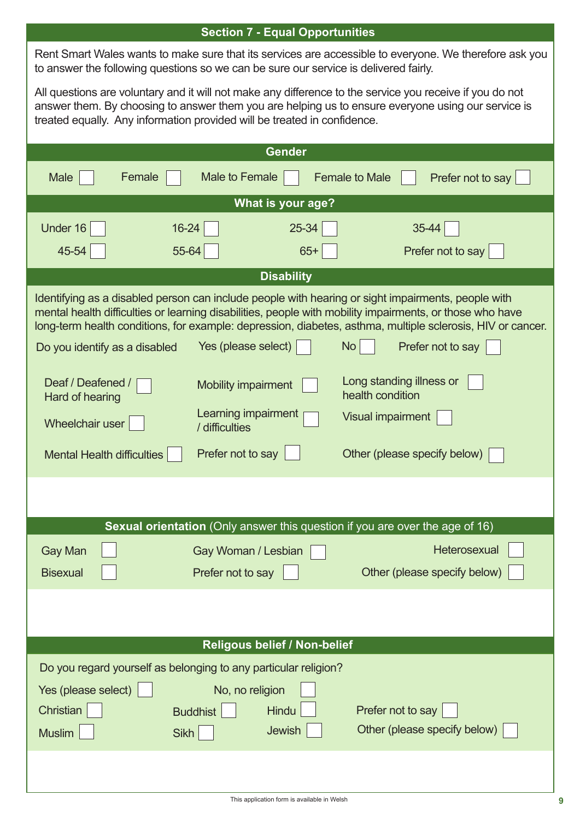|                                                                          | <b>Section 7 - Equal Opportunities</b>                                                                                                                                                         |                                                                                                                                                                                                                                                                                                                              |  |  |  |  |
|--------------------------------------------------------------------------|------------------------------------------------------------------------------------------------------------------------------------------------------------------------------------------------|------------------------------------------------------------------------------------------------------------------------------------------------------------------------------------------------------------------------------------------------------------------------------------------------------------------------------|--|--|--|--|
|                                                                          | Rent Smart Wales wants to make sure that its services are accessible to everyone. We therefore ask you<br>to answer the following questions so we can be sure our service is delivered fairly. |                                                                                                                                                                                                                                                                                                                              |  |  |  |  |
| treated equally. Any information provided will be treated in confidence. |                                                                                                                                                                                                | All questions are voluntary and it will not make any difference to the service you receive if you do not<br>answer them. By choosing to answer them you are helping us to ensure everyone using our service is                                                                                                               |  |  |  |  |
|                                                                          | <b>Gender</b>                                                                                                                                                                                  |                                                                                                                                                                                                                                                                                                                              |  |  |  |  |
| Female<br>Male                                                           | <b>Male to Female</b>                                                                                                                                                                          | <b>Female to Male</b><br>Prefer not to say                                                                                                                                                                                                                                                                                   |  |  |  |  |
|                                                                          | What is your age?                                                                                                                                                                              |                                                                                                                                                                                                                                                                                                                              |  |  |  |  |
| Under 16<br>16-24                                                        | 25-34                                                                                                                                                                                          | 35-44                                                                                                                                                                                                                                                                                                                        |  |  |  |  |
| 55-64<br>45-54                                                           | $65+$                                                                                                                                                                                          | Prefer not to say                                                                                                                                                                                                                                                                                                            |  |  |  |  |
|                                                                          | <b>Disability</b>                                                                                                                                                                              |                                                                                                                                                                                                                                                                                                                              |  |  |  |  |
|                                                                          |                                                                                                                                                                                                | Identifying as a disabled person can include people with hearing or sight impairments, people with<br>mental health difficulties or learning disabilities, people with mobility impairments, or those who have<br>long-term health conditions, for example: depression, diabetes, asthma, multiple sclerosis, HIV or cancer. |  |  |  |  |
| Do you identify as a disabled                                            | Yes (please select)                                                                                                                                                                            | <b>No</b><br>Prefer not to say                                                                                                                                                                                                                                                                                               |  |  |  |  |
| Deaf / Deafened /<br>Hard of hearing                                     | <b>Mobility impairment</b>                                                                                                                                                                     | Long standing illness or<br>health condition                                                                                                                                                                                                                                                                                 |  |  |  |  |
| Wheelchair user                                                          | Learning impairment<br>/ difficulties                                                                                                                                                          | <b>Visual impairment</b>                                                                                                                                                                                                                                                                                                     |  |  |  |  |
| Mental Health difficulties                                               | Prefer not to say                                                                                                                                                                              | Other (please specify below)                                                                                                                                                                                                                                                                                                 |  |  |  |  |
|                                                                          |                                                                                                                                                                                                |                                                                                                                                                                                                                                                                                                                              |  |  |  |  |
|                                                                          |                                                                                                                                                                                                | Sexual orientation (Only answer this question if you are over the age of 16)                                                                                                                                                                                                                                                 |  |  |  |  |
| <b>Gay Man</b>                                                           | Gay Woman / Lesbian                                                                                                                                                                            | Heterosexual                                                                                                                                                                                                                                                                                                                 |  |  |  |  |
| <b>Bisexual</b>                                                          | Prefer not to say                                                                                                                                                                              | Other (please specify below)                                                                                                                                                                                                                                                                                                 |  |  |  |  |
|                                                                          |                                                                                                                                                                                                |                                                                                                                                                                                                                                                                                                                              |  |  |  |  |
|                                                                          | Religous belief / Non-belief                                                                                                                                                                   |                                                                                                                                                                                                                                                                                                                              |  |  |  |  |
| Do you regard yourself as belonging to any particular religion?          |                                                                                                                                                                                                |                                                                                                                                                                                                                                                                                                                              |  |  |  |  |
|                                                                          |                                                                                                                                                                                                |                                                                                                                                                                                                                                                                                                                              |  |  |  |  |
| Yes (please select)<br>Christian                                         | No, no religion<br><b>Hindu</b><br><b>Buddhist</b>                                                                                                                                             | Prefer not to say                                                                                                                                                                                                                                                                                                            |  |  |  |  |
| <b>Muslim</b>                                                            | Jewish<br><b>Sikh</b>                                                                                                                                                                          | Other (please specify below)                                                                                                                                                                                                                                                                                                 |  |  |  |  |
|                                                                          |                                                                                                                                                                                                |                                                                                                                                                                                                                                                                                                                              |  |  |  |  |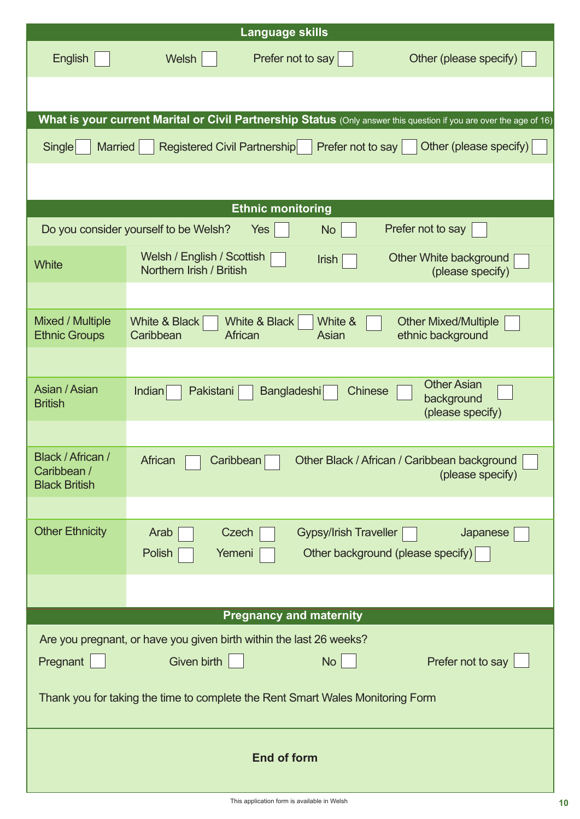|                                                                                | <b>Language skills</b>                                                                                                                    |  |  |  |  |  |
|--------------------------------------------------------------------------------|-------------------------------------------------------------------------------------------------------------------------------------------|--|--|--|--|--|
| <b>English</b>                                                                 | Prefer not to say<br>Other (please specify)<br><b>Welsh</b>                                                                               |  |  |  |  |  |
|                                                                                |                                                                                                                                           |  |  |  |  |  |
|                                                                                | What is your current Marital or Civil Partnership Status (Only answer this question if you are over the age of 16)                        |  |  |  |  |  |
| Single<br><b>Married</b>                                                       | <b>Registered Civil Partnership</b><br>Prefer not to say<br>Other (please specify)                                                        |  |  |  |  |  |
|                                                                                |                                                                                                                                           |  |  |  |  |  |
|                                                                                | <b>Ethnic monitoring</b>                                                                                                                  |  |  |  |  |  |
|                                                                                | Prefer not to say<br>Do you consider yourself to be Welsh?<br>Yes<br><b>No</b>                                                            |  |  |  |  |  |
| <b>White</b>                                                                   | Welsh / English / Scottish<br>Other White background<br><b>Irish</b><br>Northern Irish / British<br>(please specify)                      |  |  |  |  |  |
|                                                                                |                                                                                                                                           |  |  |  |  |  |
| <b>Mixed / Multiple</b><br><b>Ethnic Groups</b>                                | White &<br><b>Other Mixed/Multiple</b><br><b>White &amp; Black</b><br>White & Black<br>Caribbean<br>ethnic background<br>African<br>Asian |  |  |  |  |  |
|                                                                                |                                                                                                                                           |  |  |  |  |  |
| Asian / Asian<br><b>British</b>                                                | <b>Other Asian</b><br>Indian<br><b>Bangladeshi</b><br><b>Chinese</b><br>Pakistani<br>background<br>(please specify)                       |  |  |  |  |  |
| Black / African /<br>Caribbean /<br><b>Black British</b>                       | Caribbean<br>Other Black / African / Caribbean background<br>African<br>(please specify)                                                  |  |  |  |  |  |
|                                                                                |                                                                                                                                           |  |  |  |  |  |
| <b>Other Ethnicity</b>                                                         | Arab<br><b>Gypsy/Irish Traveller</b><br>Japanese<br>Czech<br>Polish<br>Other background (please specify)<br>Yemeni                        |  |  |  |  |  |
|                                                                                |                                                                                                                                           |  |  |  |  |  |
|                                                                                | <b>Pregnancy and maternity</b>                                                                                                            |  |  |  |  |  |
| Are you pregnant, or have you given birth within the last 26 weeks?            |                                                                                                                                           |  |  |  |  |  |
| No<br>Pregnant<br><b>Given birth</b><br>Prefer not to say                      |                                                                                                                                           |  |  |  |  |  |
| Thank you for taking the time to complete the Rent Smart Wales Monitoring Form |                                                                                                                                           |  |  |  |  |  |
| <b>End of form</b>                                                             |                                                                                                                                           |  |  |  |  |  |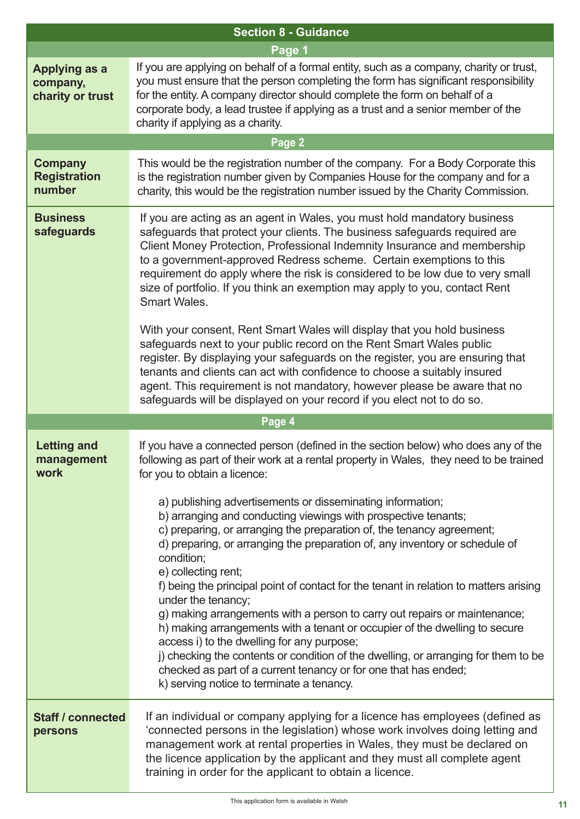|                                                      | <b>Section 8 - Guidance</b>                                                                                                                                                                                                                                                                                                                                                                                                                                                                                                                                                                                                                                                                                                                                                                                                                                                                                                                                                                                                                                            |
|------------------------------------------------------|------------------------------------------------------------------------------------------------------------------------------------------------------------------------------------------------------------------------------------------------------------------------------------------------------------------------------------------------------------------------------------------------------------------------------------------------------------------------------------------------------------------------------------------------------------------------------------------------------------------------------------------------------------------------------------------------------------------------------------------------------------------------------------------------------------------------------------------------------------------------------------------------------------------------------------------------------------------------------------------------------------------------------------------------------------------------|
|                                                      | Page 1                                                                                                                                                                                                                                                                                                                                                                                                                                                                                                                                                                                                                                                                                                                                                                                                                                                                                                                                                                                                                                                                 |
| <b>Applying as a</b><br>company,<br>charity or trust | If you are applying on behalf of a formal entity, such as a company, charity or trust,<br>you must ensure that the person completing the form has significant responsibility<br>for the entity. A company director should complete the form on behalf of a<br>corporate body, a lead trustee if applying as a trust and a senior member of the<br>charity if applying as a charity.                                                                                                                                                                                                                                                                                                                                                                                                                                                                                                                                                                                                                                                                                    |
|                                                      | Page 2                                                                                                                                                                                                                                                                                                                                                                                                                                                                                                                                                                                                                                                                                                                                                                                                                                                                                                                                                                                                                                                                 |
| <b>Company</b><br><b>Registration</b><br>number      | This would be the registration number of the company. For a Body Corporate this<br>is the registration number given by Companies House for the company and for a<br>charity, this would be the registration number issued by the Charity Commission.                                                                                                                                                                                                                                                                                                                                                                                                                                                                                                                                                                                                                                                                                                                                                                                                                   |
| <b>Business</b><br>safeguards                        | If you are acting as an agent in Wales, you must hold mandatory business<br>safeguards that protect your clients. The business safeguards required are<br>Client Money Protection, Professional Indemnity Insurance and membership<br>to a government-approved Redress scheme. Certain exemptions to this<br>requirement do apply where the risk is considered to be low due to very small<br>size of portfolio. If you think an exemption may apply to you, contact Rent<br><b>Smart Wales.</b><br>With your consent, Rent Smart Wales will display that you hold business<br>safeguards next to your public record on the Rent Smart Wales public<br>register. By displaying your safeguards on the register, you are ensuring that<br>tenants and clients can act with confidence to choose a suitably insured<br>agent. This requirement is not mandatory, however please be aware that no<br>safeguards will be displayed on your record if you elect not to do so.                                                                                               |
|                                                      | Page 4                                                                                                                                                                                                                                                                                                                                                                                                                                                                                                                                                                                                                                                                                                                                                                                                                                                                                                                                                                                                                                                                 |
| <b>Letting and</b><br>management<br>work             | If you have a connected person (defined in the section below) who does any of the<br>following as part of their work at a rental property in Wales, they need to be trained<br>for you to obtain a licence:<br>a) publishing advertisements or disseminating information;<br>b) arranging and conducting viewings with prospective tenants;<br>c) preparing, or arranging the preparation of, the tenancy agreement;<br>d) preparing, or arranging the preparation of, any inventory or schedule of<br>condition;<br>e) collecting rent;<br>f) being the principal point of contact for the tenant in relation to matters arising<br>under the tenancy;<br>g) making arrangements with a person to carry out repairs or maintenance;<br>h) making arrangements with a tenant or occupier of the dwelling to secure<br>access i) to the dwelling for any purpose;<br>j) checking the contents or condition of the dwelling, or arranging for them to be<br>checked as part of a current tenancy or for one that has ended;<br>k) serving notice to terminate a tenancy. |
| <b>Staff / connected</b><br>persons                  | If an individual or company applying for a licence has employees (defined as<br>'connected persons in the legislation) whose work involves doing letting and<br>management work at rental properties in Wales, they must be declared on<br>the licence application by the applicant and they must all complete agent<br>training in order for the applicant to obtain a licence.                                                                                                                                                                                                                                                                                                                                                                                                                                                                                                                                                                                                                                                                                       |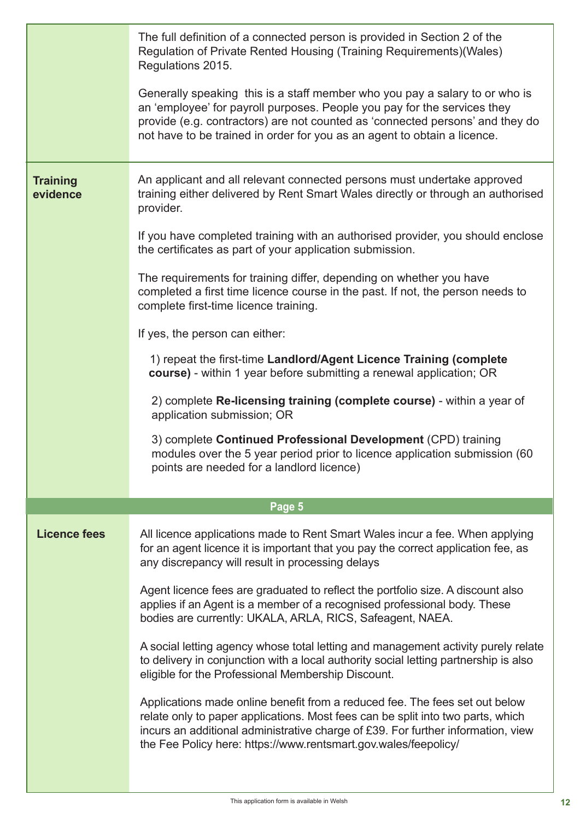|                             | The full definition of a connected person is provided in Section 2 of the<br>Regulation of Private Rented Housing (Training Requirements) (Wales)<br>Regulations 2015.                                                                                                                                                |  |  |  |  |
|-----------------------------|-----------------------------------------------------------------------------------------------------------------------------------------------------------------------------------------------------------------------------------------------------------------------------------------------------------------------|--|--|--|--|
|                             | Generally speaking this is a staff member who you pay a salary to or who is<br>an 'employee' for payroll purposes. People you pay for the services they<br>provide (e.g. contractors) are not counted as 'connected persons' and they do<br>not have to be trained in order for you as an agent to obtain a licence.  |  |  |  |  |
| <b>Training</b><br>evidence | An applicant and all relevant connected persons must undertake approved<br>training either delivered by Rent Smart Wales directly or through an authorised<br>provider.                                                                                                                                               |  |  |  |  |
|                             | If you have completed training with an authorised provider, you should enclose<br>the certificates as part of your application submission.                                                                                                                                                                            |  |  |  |  |
|                             | The requirements for training differ, depending on whether you have<br>completed a first time licence course in the past. If not, the person needs to<br>complete first-time licence training.                                                                                                                        |  |  |  |  |
|                             | If yes, the person can either:                                                                                                                                                                                                                                                                                        |  |  |  |  |
|                             | 1) repeat the first-time Landlord/Agent Licence Training (complete<br>course) - within 1 year before submitting a renewal application; OR                                                                                                                                                                             |  |  |  |  |
|                             | 2) complete Re-licensing training (complete course) - within a year of<br>application submission; OR                                                                                                                                                                                                                  |  |  |  |  |
|                             | 3) complete Continued Professional Development (CPD) training<br>modules over the 5 year period prior to licence application submission (60<br>points are needed for a landlord licence)                                                                                                                              |  |  |  |  |
|                             |                                                                                                                                                                                                                                                                                                                       |  |  |  |  |
|                             | Page 5                                                                                                                                                                                                                                                                                                                |  |  |  |  |
| <b>Licence fees</b>         | All licence applications made to Rent Smart Wales incur a fee. When applying<br>for an agent licence it is important that you pay the correct application fee, as<br>any discrepancy will result in processing delays                                                                                                 |  |  |  |  |
|                             | Agent licence fees are graduated to reflect the portfolio size. A discount also<br>applies if an Agent is a member of a recognised professional body. These<br>bodies are currently: UKALA, ARLA, RICS, Safeagent, NAEA.                                                                                              |  |  |  |  |
|                             | A social letting agency whose total letting and management activity purely relate<br>to delivery in conjunction with a local authority social letting partnership is also<br>eligible for the Professional Membership Discount.                                                                                       |  |  |  |  |
|                             | Applications made online benefit from a reduced fee. The fees set out below<br>relate only to paper applications. Most fees can be split into two parts, which<br>incurs an additional administrative charge of £39. For further information, view<br>the Fee Policy here: https://www.rentsmart.gov.wales/feepolicy/ |  |  |  |  |
|                             |                                                                                                                                                                                                                                                                                                                       |  |  |  |  |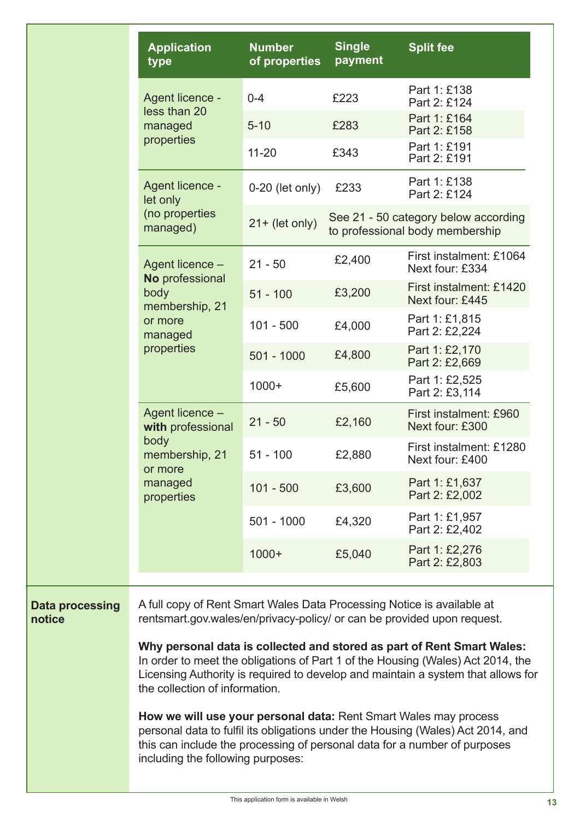|                                  | <b>Application</b><br>type                                                                                                                                                                                                                                                      | <b>Number</b><br>of properties | <b>Single</b><br>payment | <b>Split fee</b>                                                        |  |  |
|----------------------------------|---------------------------------------------------------------------------------------------------------------------------------------------------------------------------------------------------------------------------------------------------------------------------------|--------------------------------|--------------------------|-------------------------------------------------------------------------|--|--|
|                                  | Agent licence -<br>less than 20<br>managed<br>properties                                                                                                                                                                                                                        | $0 - 4$                        | £223                     | Part 1: £138<br>Part 2: £124                                            |  |  |
|                                  |                                                                                                                                                                                                                                                                                 | $5 - 10$                       | £283                     | Part 1: £164<br>Part 2: £158                                            |  |  |
|                                  |                                                                                                                                                                                                                                                                                 | $11 - 20$                      | £343                     | Part 1: £191<br>Part 2: £191                                            |  |  |
|                                  | Agent licence -<br>let only                                                                                                                                                                                                                                                     | $0-20$ (let only)              | £233                     | Part 1: £138<br>Part 2: £124                                            |  |  |
|                                  | (no properties<br>managed)                                                                                                                                                                                                                                                      | $21 + (let only)$              |                          | See 21 - 50 category below according<br>to professional body membership |  |  |
|                                  | Agent licence -<br>No professional                                                                                                                                                                                                                                              | $21 - 50$                      | £2,400                   | First instalment: £1064<br>Next four: £334                              |  |  |
|                                  | body<br>membership, 21                                                                                                                                                                                                                                                          | $51 - 100$                     | £3,200                   | First instalment: £1420<br>Next four: £445                              |  |  |
|                                  | or more<br>managed                                                                                                                                                                                                                                                              | $101 - 500$                    | £4,000                   | Part 1: £1,815<br>Part 2: £2,224                                        |  |  |
|                                  | properties                                                                                                                                                                                                                                                                      | $501 - 1000$                   | £4,800                   | Part 1: £2,170<br>Part 2: £2,669                                        |  |  |
|                                  |                                                                                                                                                                                                                                                                                 | $1000+$                        | £5,600                   | Part 1: £2,525<br>Part 2: £3,114                                        |  |  |
|                                  | Agent licence -<br>with professional<br>body<br>membership, 21<br>or more                                                                                                                                                                                                       | $21 - 50$                      | £2,160                   | First instalment: £960<br>Next four: £300                               |  |  |
|                                  |                                                                                                                                                                                                                                                                                 | $51 - 100$                     | £2,880                   | First instalment: £1280<br>Next four: £400                              |  |  |
|                                  | managed<br>properties                                                                                                                                                                                                                                                           | $101 - 500$                    | £3,600                   | Part 1: £1,637<br>Part 2: £2,002                                        |  |  |
|                                  |                                                                                                                                                                                                                                                                                 | $501 - 1000$                   | £4,320                   | Part 1: £1,957<br>Part 2: £2,402                                        |  |  |
|                                  |                                                                                                                                                                                                                                                                                 | $1000+$                        | £5,040                   | Part 1: £2,276<br>Part 2: £2,803                                        |  |  |
|                                  |                                                                                                                                                                                                                                                                                 |                                |                          |                                                                         |  |  |
| <b>Data processing</b><br>notice | A full copy of Rent Smart Wales Data Processing Notice is available at<br>rentsmart.gov.wales/en/privacy-policy/ or can be provided upon request.                                                                                                                               |                                |                          |                                                                         |  |  |
|                                  | Why personal data is collected and stored as part of Rent Smart Wales:<br>In order to meet the obligations of Part 1 of the Housing (Wales) Act 2014, the<br>Licensing Authority is required to develop and maintain a system that allows for<br>the collection of information. |                                |                          |                                                                         |  |  |
|                                  | How we will use your personal data: Rent Smart Wales may process<br>personal data to fulfil its obligations under the Housing (Wales) Act 2014, and<br>this can include the processing of personal data for a number of purposes<br>including the following purposes:           |                                |                          |                                                                         |  |  |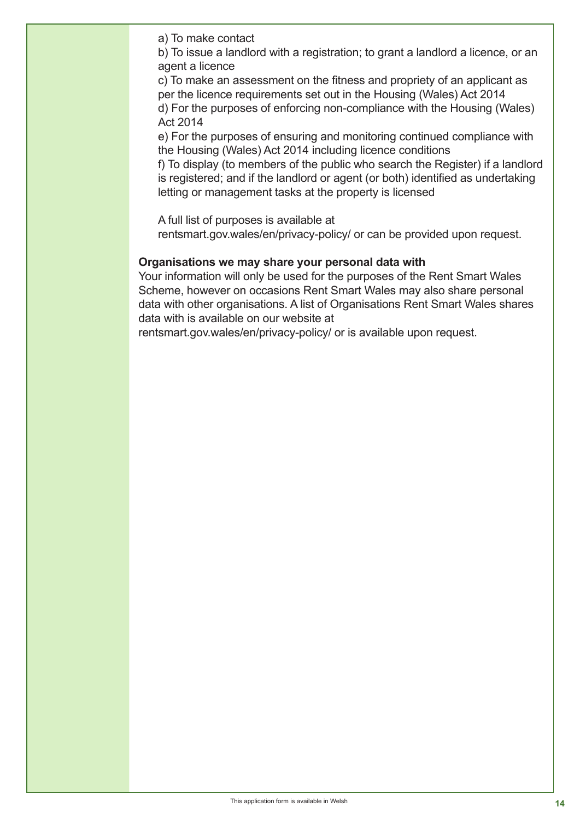a) To make contact

b) To issue a landlord with a registration; to grant a landlord a licence, or an agent a licence

c) To make an assessment on the fitness and propriety of an applicant as per the licence requirements set out in the Housing (Wales) Act 2014 d) For the purposes of enforcing non-compliance with the Housing (Wales) Act 2014

e) For the purposes of ensuring and monitoring continued compliance with the Housing (Wales) Act 2014 including licence conditions

f) To display (to members of the public who search the Register) if a landlord is registered; and if the landlord or agent (or both) identified as undertaking letting or management tasks at the property is licensed

A full list of purposes is available at

**Data processing** rentsmart.gov.wales/en/privacy-policy/ or can be provided upon request.

#### **Organisations we may share your personal data with**

Your information will only be used for the purposes of the Rent Smart Wales Scheme, however on occasions Rent Smart Wales may also share personal data with other organisations. A list of Organisations Rent Smart Wales shares data with is available on our website at

rentsmart.gov.wales/en/privacy-policy/ or is available upon request.